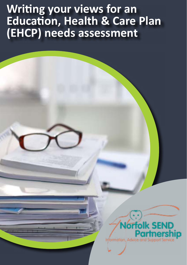# **Writing your views for an Education, Health & Care Plan (EHCP) needs assessment**

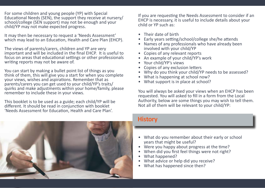For some children and young people (YP) with Special Educational Needs (SEN), the support they receive at nursery/ school/college (SEN support) may not be enough and your child/YP may not make expected progress.

It may then be necessary to request a 'Needs Assessment' which may lead to an Education, Health and Care Plan (EHCP).

The views of parents/carers, children and YP are very important and will be included in the final EHCP. It is useful to focus on areas that educational settings or other professionals writing reports may not be aware of.

You can start by making a bullet point list of things as you think of them, this will give you a start for when you complete your views, wishes and aspirations. Remember that as parents/carers you can get used to your child/YP's traits/ quirks and make adjustments within your home/family, please remember to include these in your views.

This booklet is to be used as a guide; each child/YP will be different. It should be read in conjunction with booklet 'Needs Assessment for Education, Health and Care Plan'.

If you are requesting the Needs Assessment to consider if an EHCP is necessary, it is useful to include details about your child or YP such as:

- Their date of birth
- Early years setting/school/college she/he attends
- Names of any professionals who have already been involved with your child/YP
- Copies of any relevant reports
- An example of your child/YP's work
- Your child/YP's views
- Copies of any exclusion letters
- Why do you think your child/YP needs to be assessed?
- What is happening at school now?
- What support is in place at school?

You will always be asked your views when an EHCP has been requested. You will asked to fill in a form from the Local Authority, below are some things you may wish to tell them. Not all of them will be relevant to your child/YP:



### **History**

- What do you remember about their early or school years that might be useful?
- Were you happy about progress at the time?
- When did you first feel things were not right?
- What happened?
- What advice or help did you receive?
- What has happened since then?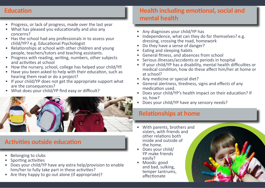### **Education**

- Progress, or lack of progress, made over the last year
- What has pleased you educationally and also any concerns?
- Has the school had any professionals in to assess your child/YP? e.g. Educational Psychologist
- Relationships at school with other children and young people, teachers/tutors and teaching assistants.
- Progress with reading, writing, numbers, other subjects and activities at school
- How the nursery, school, college has helped your child/YP.
- Have you been asked to help with their education, such as hearing them read or do a project?
- If your child/YP does not get the appropriate support what are the consequences?
- What does your child/YP find easy or difficult?



# **Activities outside education**

- Belonging to clubs
- Sporting activities
- Does your child/YP have any extra help/provision to enable him/her to fully take part in these activities?
- Are they happy to go out alone (if appropriate)?

# **Health including emotional, social and mental health**

- Any diagnoses your child/YP has
- Independence, what can they do for themselves? e.g. dressing, crossing the road, homework
- Do they have a sense of danger?
- Eating and sleeping habits
- General fitness, and absences from school
- Serious illnesses/accidents or periods in hospital
- If your child/YP has a disability, mental health difficulties or medical condition, how do these affect him/her at home or at school?
- Any medicine or special diet?
- General alertness, tiredness, signs and effects of any medication used.
- Does your child/YP's health impact on their education? If so, how?
- Does your child/YP have any sensory needs?

## **Relationships at home**

- With parents, brothers and sisters, with friends and other relations both inside and outside of the home.
- Does your child/ YP make friends easily?
- Moods: good and bad, sulking, temper tantrums, affectionate

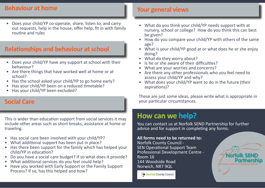#### **Behaviour at home**

• Does your child/YP co-operate, share, listen to, and carry out requests, help in the house, offer help, fit in with family routine and rules

## **Relationships and behaviour at school**

- Does your child/YP have any support at school with their behaviour?
- Are there things that have worked well at home or at school?
- Has the school asked your child/YP to go home early?
- Has your child/YP been on a reduced timetable?
- Has your child/YP been excluded?

#### **Social Care**

This is wider than education support from social services it may include other areas such as short breaks, assistance at home or traveling.

- Has social care been involved with your child/YP?
- What additional support has been put in place?
- Has there been support for the family which has helped your child/YP in education?
- Do you have a social care budget? If so what does it provide?
- What additional services do you feel could help?
- Have you worked with Early Support or the Family Support Process? If so, has this helped and how?

## **Your general views**

- What do you think your child/YP needs support with at nursery, school or college? How do you think this can best be given?
- How do you compare your child/YP with others of the same age?
- What is your child/YP good at or what does he or she enjoy doing?
- What do they worry about?
- Is he or she aware of their difficulties?
- What are your worries and concerns?
- Are there any other professionals who you feel need to assess your child/YP and why?
- What does your child/YP want to do in the future (their aspirations)?

These are just some ideas, please write what is appropriate in your particular circumstances.

# **How can we help?**

You can contact us at Norfolk SEND Partnership for further advice and for support in completing any forms.

#### **All forms need to be returned to:**

Norfolk County Council - SEN Operational Support Team Professional Development Centre - Room 16 144 Woodside Road Norwich, NR7 9QL